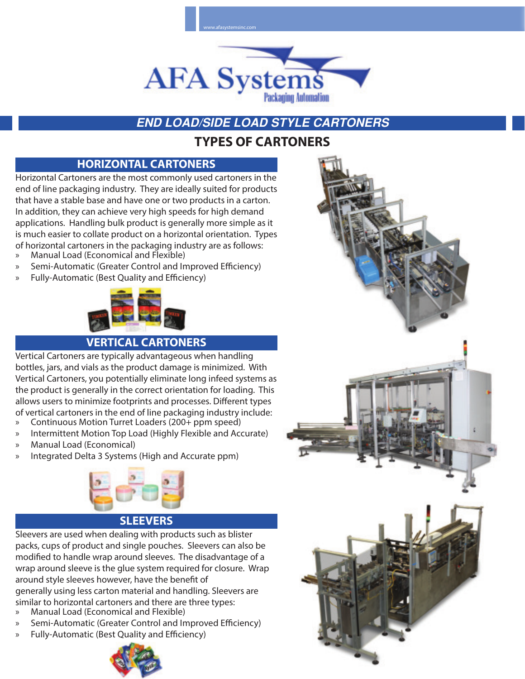

# **END LOAD/SIDE LOAD STYLE CARTONERS**

# **TYPES OF CARTONERS**

#### **HORIZONTAL CARTONERS**

Horizontal Cartoners are the most commonly used cartoners in the end of line packaging industry. They are ideally suited for products that have a stable base and have one or two products in a carton. In addition, they can achieve very high speeds for high demand applications. Handling bulk product is generally more simple as it is much easier to collate product on a horizontal orientation. Types of horizontal cartoners in the packaging industry are as follows:

- » Manual Load (Economical and Flexible)
- Semi-Automatic (Greater Control and Improved Efficiency)
- » Fully-Automatic (Best Quality and Efficiency)



#### **VERTICAL CARTONERS**

Vertical Cartoners are typically advantageous when handling bottles, jars, and vials as the product damage is minimized. With Vertical Cartoners, you potentially eliminate long infeed systems as the product is generally in the correct orientation for loading. This allows users to minimize footprints and processes. Different types of vertical cartoners in the end of line packaging industry include: » Continuous Motion Turret Loaders (200+ ppm speed)

- » Intermittent Motion Top Load (Highly Flexible and Accurate)
- 
- » Manual Load (Economical)
- » Integrated Delta 3 Systems (High and Accurate ppm)



#### **SLEEVERS**

Sleevers are used when dealing with products such as blister packs, cups of product and single pouches. Sleevers can also be modified to handle wrap around sleeves. The disadvantage of a wrap around sleeve is the glue system required for closure. Wrap around style sleeves however, have the benefit of generally using less carton material and handling. Sleevers are similar to horizontal cartoners and there are three types:

- » Manual Load (Economical and Flexible)
- Semi-Automatic (Greater Control and Improved Efficiency)
- » Fully-Automatic (Best Quality and Efficiency)



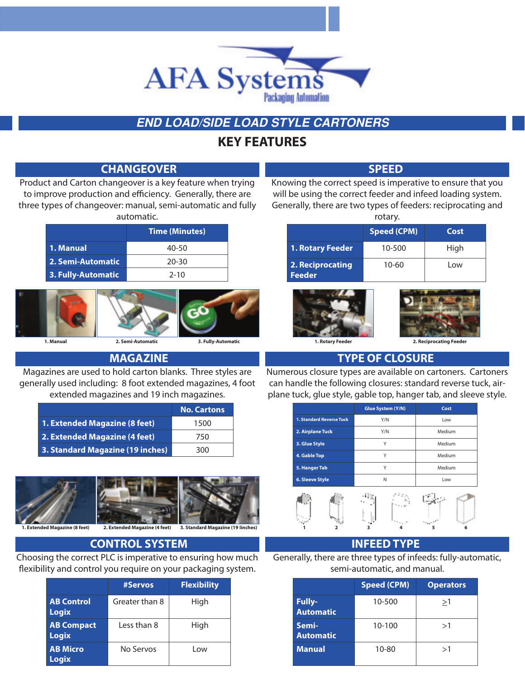

#### **END LOAD/SIDE LOAD STYLE CARTONERS**

### **KEY FEATURES**

#### **CHANGEOVER** SPEED

Product and Carton changeover is a key feature when trying to improve production and efficiency. Generally, there are three types of changeover: manual, semi-automatic and fully automatic.

|                    | <b>Time (Minutes)</b> |
|--------------------|-----------------------|
| 1. Manual          | 40-50                 |
| 2. Semi-Automatic  | 20-30                 |
| 3. Fully-Automatic | $2 - 10$              |



#### **MAGAZINE**

Magazines are used to hold carton blanks. Three styles are generally used including: 8 foot extended magazines, 4 foot extended magazines and 19 inch magazines.

|                                  | <b>No. Cartons</b> |
|----------------------------------|--------------------|
| 1. Extended Magazine (8 feet)    | 1500               |
| 2. Extended Magazine (4 feet)    | 750                |
| 3. Standard Magazine (19 inches) | 300                |



#### **CONTROL SYSTEM INFEED TYPE**

Choosing the correct PLC is imperative to ensuring how much flexibility and control you require on your packaging system.

|                                   | #Servos        | <b>Flexibility</b> |
|-----------------------------------|----------------|--------------------|
| <b>AB Control</b><br>Logix        | Greater than 8 | High               |
| <b>AB Compact</b><br><b>Logix</b> | Less than 8    | High               |
| <b>AB Micro</b><br>Logix          | No Servos      | Low                |

Knowing the correct speed is imperative to ensure that you will be using the correct feeder and infeed loading system. Generally, there are two types of feeders: reciprocating and

| rotary.                    |                    |      |  |  |  |  |  |  |  |  |
|----------------------------|--------------------|------|--|--|--|--|--|--|--|--|
|                            | <b>Speed (CPM)</b> | Cost |  |  |  |  |  |  |  |  |
| 1. Rotary Feeder           | 10-500             | High |  |  |  |  |  |  |  |  |
| 2. Reciprocating<br>Feeder | $10 - 60$          | l ow |  |  |  |  |  |  |  |  |





**1. Manual 2. Semi-Automatic 3. Fully-Automatic 1. Rotary Feeder 2. Reciprocating Feeder**

#### **TYPE OF CLOSURE**

Numerous closure types are available on cartoners. Cartoners can handle the following closures: standard reverse tuck, airplane tuck, glue style, gable top, hanger tab, and sleeve style.

|                                 | Glue System (Y/N) | Cost   |  |  |  |  |  |  |
|---------------------------------|-------------------|--------|--|--|--|--|--|--|
| <b>1. Standard Reverse Tuck</b> | Y/N               | Low    |  |  |  |  |  |  |
| 2. Airplane Tuck                | Y/N               | Medium |  |  |  |  |  |  |
| 3. Glue Style                   | Υ                 | Medium |  |  |  |  |  |  |
| 4. Gable Top                    | Υ                 | Medium |  |  |  |  |  |  |
| 5. Hanger Tab                   | Υ                 | Medium |  |  |  |  |  |  |
| <b>6. Sleeve Style</b>          | N                 | Low    |  |  |  |  |  |  |
|                                 |                   |        |  |  |  |  |  |  |

# **1 2 3 4 5 6**

Generally, there are three types of infeeds: fully-automatic, semi-automatic, and manual.

|                                   | <b>Speed (CPM)</b> | <b>Operators</b> |
|-----------------------------------|--------------------|------------------|
| <b>Fully-</b><br><b>Automatic</b> | 10-500             | >1               |
| Semi-<br><b>Automatic</b>         | $10 - 100$         | >1               |
| <b>Manual</b>                     | $10 - 80$          | >1               |